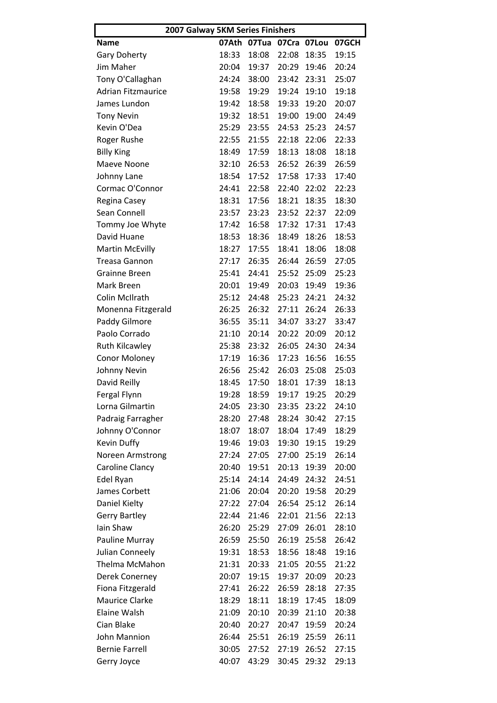| 2007 Galway 5KM Series Finishers |       |       |       |       |       |  |  |
|----------------------------------|-------|-------|-------|-------|-------|--|--|
| <b>Name</b>                      | 07Ath | 07Tua | 07Cra | 07Lou | 07GCH |  |  |
| <b>Gary Doherty</b>              | 18:33 | 18:08 | 22:08 | 18:35 | 19:15 |  |  |
| Jim Maher                        | 20:04 | 19:37 | 20:29 | 19:46 | 20:24 |  |  |
| Tony O'Callaghan                 | 24:24 | 38:00 | 23:42 | 23:31 | 25:07 |  |  |
| <b>Adrian Fitzmaurice</b>        | 19:58 | 19:29 | 19:24 | 19:10 | 19:18 |  |  |
| James Lundon                     | 19:42 | 18:58 | 19:33 | 19:20 | 20:07 |  |  |
| <b>Tony Nevin</b>                | 19:32 | 18:51 | 19:00 | 19:00 | 24:49 |  |  |
| Kevin O'Dea                      | 25:29 | 23:55 | 24:53 | 25:23 | 24:57 |  |  |
| Roger Rushe                      | 22:55 | 21:55 | 22:18 | 22:06 | 22:33 |  |  |
| <b>Billy King</b>                | 18:49 | 17:59 | 18:13 | 18:08 | 18:18 |  |  |
| Maeve Noone                      | 32:10 | 26:53 | 26:52 | 26:39 | 26:59 |  |  |
| Johnny Lane                      | 18:54 | 17:52 | 17:58 | 17:33 | 17:40 |  |  |
| Cormac O'Connor                  | 24:41 | 22:58 | 22:40 | 22:02 | 22:23 |  |  |
| Regina Casey                     | 18:31 | 17:56 | 18:21 | 18:35 | 18:30 |  |  |
| Sean Connell                     | 23:57 | 23:23 | 23:52 | 22:37 | 22:09 |  |  |
| Tommy Joe Whyte                  | 17:42 | 16:58 | 17:32 | 17:31 | 17:43 |  |  |
| David Huane                      | 18:53 | 18:36 | 18:49 | 18:26 | 18:53 |  |  |
| <b>Martin McEvilly</b>           | 18:27 | 17:55 | 18:41 | 18:06 | 18:08 |  |  |
| <b>Treasa Gannon</b>             | 27:17 | 26:35 | 26:44 | 26:59 | 27:05 |  |  |
| <b>Grainne Breen</b>             | 25:41 | 24:41 | 25:52 | 25:09 | 25:23 |  |  |
| Mark Breen                       | 20:01 | 19:49 | 20:03 | 19:49 | 19:36 |  |  |
| Colin McIlrath                   | 25:12 | 24:48 | 25:23 | 24:21 | 24:32 |  |  |
| Monenna Fitzgerald               | 26:25 | 26:32 | 27:11 | 26:24 | 26:33 |  |  |
| Paddy Gilmore                    | 36:55 | 35:11 | 34:07 | 33:27 | 33:47 |  |  |
| Paolo Corrado                    | 21:10 | 20:14 | 20:22 | 20:09 | 20:12 |  |  |
| <b>Ruth Kilcawley</b>            | 25:38 | 23:32 | 26:05 | 24:30 | 24:34 |  |  |
| Conor Moloney                    | 17:19 | 16:36 | 17:23 | 16:56 | 16:55 |  |  |
| Johnny Nevin                     | 26:56 | 25:42 | 26:03 | 25:08 | 25:03 |  |  |
| David Reilly                     | 18:45 | 17:50 | 18:01 | 17:39 | 18:13 |  |  |
| Fergal Flynn                     | 19:28 | 18:59 | 19:17 | 19:25 | 20:29 |  |  |
| Lorna Gilmartin                  | 24:05 | 23:30 | 23:35 | 23:22 | 24:10 |  |  |
| Padraig Farragher                | 28:20 | 27:48 | 28:24 | 30:42 | 27:15 |  |  |
| Johnny O'Connor                  | 18:07 | 18:07 | 18:04 | 17:49 | 18:29 |  |  |
| Kevin Duffy                      | 19:46 | 19:03 | 19:30 | 19:15 | 19:29 |  |  |
| Noreen Armstrong                 | 27:24 | 27:05 | 27:00 | 25:19 | 26:14 |  |  |
| Caroline Clancy                  | 20:40 | 19:51 | 20:13 | 19:39 | 20:00 |  |  |
| Edel Ryan                        | 25:14 | 24:14 | 24:49 | 24:32 | 24:51 |  |  |
| James Corbett                    | 21:06 | 20:04 | 20:20 | 19:58 | 20:29 |  |  |
| Daniel Kielty                    | 27:22 | 27:04 | 26:54 | 25:12 | 26:14 |  |  |
| <b>Gerry Bartley</b>             | 22:44 | 21:46 | 22:01 | 21:56 | 22:13 |  |  |
| lain Shaw                        | 26:20 | 25:29 | 27:09 | 26:01 | 28:10 |  |  |
| Pauline Murray                   | 26:59 | 25:50 | 26:19 | 25:58 | 26:42 |  |  |
| Julian Conneely                  | 19:31 | 18:53 | 18:56 | 18:48 | 19:16 |  |  |
| Thelma McMahon                   | 21:31 | 20:33 | 21:05 | 20:55 | 21:22 |  |  |
| Derek Conerney                   | 20:07 | 19:15 | 19:37 | 20:09 | 20:23 |  |  |
| Fiona Fitzgerald                 | 27:41 | 26:22 | 26:59 | 28:18 | 27:35 |  |  |
| <b>Maurice Clarke</b>            | 18:29 | 18:11 | 18:19 | 17:45 | 18:09 |  |  |
| Elaine Walsh                     | 21:09 | 20:10 | 20:39 | 21:10 | 20:38 |  |  |
| Cian Blake                       | 20:40 | 20:27 | 20:47 | 19:59 | 20:24 |  |  |
| John Mannion                     | 26:44 | 25:51 | 26:19 | 25:59 | 26:11 |  |  |
| <b>Bernie Farrell</b>            | 30:05 | 27:52 | 27:19 | 26:52 | 27:15 |  |  |
| Gerry Joyce                      | 40:07 | 43:29 | 30:45 | 29:32 | 29:13 |  |  |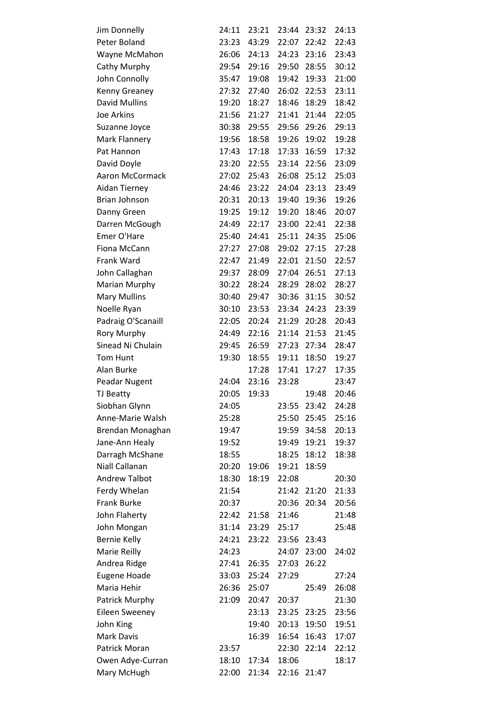| Jim Donnelly           | 24:11 | 23:21 | 23:44 | 23:32 | 24:13 |
|------------------------|-------|-------|-------|-------|-------|
| Peter Boland           | 23:23 | 43:29 | 22:07 | 22:42 | 22:43 |
| Wayne McMahon          | 26:06 | 24:13 | 24:23 | 23:16 | 23:43 |
| Cathy Murphy           | 29:54 | 29:16 | 29:50 | 28:55 | 30:12 |
| John Connolly          | 35:47 | 19:08 | 19:42 | 19:33 | 21:00 |
| Kenny Greaney          | 27:32 | 27:40 | 26:02 | 22:53 | 23:11 |
| <b>David Mullins</b>   | 19:20 | 18:27 | 18:46 | 18:29 | 18:42 |
| Joe Arkins             | 21:56 | 21:27 | 21:41 | 21:44 | 22:05 |
| Suzanne Joyce          | 30:38 | 29:55 | 29:56 | 29:26 | 29:13 |
| Mark Flannery          | 19:56 | 18:58 | 19:26 | 19:02 | 19:28 |
| Pat Hannon             | 17:43 | 17:18 | 17:33 | 16:59 | 17:32 |
| David Doyle            | 23:20 | 22:55 | 23:14 | 22:56 | 23:09 |
| <b>Aaron McCormack</b> | 27:02 | 25:43 | 26:08 | 25:12 | 25:03 |
| Aidan Tierney          | 24:46 | 23:22 | 24:04 | 23:13 | 23:49 |
| Brian Johnson          | 20:31 | 20:13 | 19:40 | 19:36 | 19:26 |
| Danny Green            | 19:25 | 19:12 | 19:20 | 18:46 | 20:07 |
| Darren McGough         | 24:49 | 22:17 | 23:00 | 22:41 | 22:38 |
| Emer O'Hare            | 25:40 | 24:41 | 25:11 | 24:35 | 25:06 |
| Fiona McCann           | 27:27 | 27:08 | 29:02 | 27:15 | 27:28 |
| Frank Ward             | 22:47 | 21:49 | 22:01 | 21:50 | 22:57 |
| John Callaghan         | 29:37 | 28:09 | 27:04 | 26:51 | 27:13 |
| Marian Murphy          | 30:22 | 28:24 | 28:29 | 28:02 | 28:27 |
| <b>Mary Mullins</b>    | 30:40 | 29:47 | 30:36 | 31:15 | 30:52 |
| Noelle Ryan            | 30:10 | 23:53 | 23:34 | 24:23 | 23:39 |
| Padraig O'Scanaill     | 22:05 | 20:24 | 21:29 | 20:28 | 20:43 |
| Rory Murphy            | 24:49 | 22:16 | 21:14 | 21:53 | 21:45 |
| Sinead Ni Chulain      | 29:45 | 26:59 | 27:23 | 27:34 | 28:47 |
| Tom Hunt               | 19:30 | 18:55 | 19:11 | 18:50 | 19:27 |
| Alan Burke             |       | 17:28 | 17:41 | 17:27 | 17:35 |
| Peadar Nugent          | 24:04 | 23:16 | 23:28 |       | 23:47 |
| <b>TJ Beatty</b>       | 20:05 | 19:33 |       | 19:48 | 20:46 |
| Siobhan Glynn          | 24:05 |       | 23:55 | 23:42 | 24:28 |
| Anne-Marie Walsh       | 25:28 |       | 25:50 | 25:45 | 25:16 |
| Brendan Monaghan       | 19:47 |       | 19:59 | 34:58 | 20:13 |
| Jane-Ann Healy         | 19:52 |       | 19:49 | 19:21 | 19:37 |
| Darragh McShane        | 18:55 |       | 18:25 | 18:12 | 18:38 |
| Niall Callanan         | 20:20 | 19:06 | 19:21 | 18:59 |       |
| <b>Andrew Talbot</b>   | 18:30 | 18:19 | 22:08 |       | 20:30 |
| Ferdy Whelan           | 21:54 |       | 21:42 | 21:20 | 21:33 |
| <b>Frank Burke</b>     | 20:37 |       | 20:36 | 20:34 | 20:56 |
| John Flaherty          | 22:42 | 21:58 | 21:46 |       | 21:48 |
| John Mongan            | 31:14 | 23:29 | 25:17 |       | 25:48 |
| <b>Bernie Kelly</b>    | 24:21 | 23:22 | 23:56 | 23:43 |       |
| Marie Reilly           | 24:23 |       | 24:07 | 23:00 | 24:02 |
| Andrea Ridge           | 27:41 | 26:35 | 27:03 | 26:22 |       |
| <b>Eugene Hoade</b>    | 33:03 | 25:24 | 27:29 |       | 27:24 |
| Maria Hehir            | 26:36 | 25:07 |       | 25:49 | 26:08 |
| Patrick Murphy         | 21:09 | 20:47 | 20:37 |       | 21:30 |
| <b>Eileen Sweeney</b>  |       | 23:13 | 23:25 | 23:25 | 23:56 |
| John King              |       | 19:40 | 20:13 | 19:50 | 19:51 |
| <b>Mark Davis</b>      |       | 16:39 | 16:54 | 16:43 | 17:07 |
| Patrick Moran          | 23:57 |       | 22:30 | 22:14 | 22:12 |
| Owen Adye-Curran       | 18:10 | 17:34 | 18:06 |       | 18:17 |
| Mary McHugh            | 22:00 | 21:34 | 22:16 | 21:47 |       |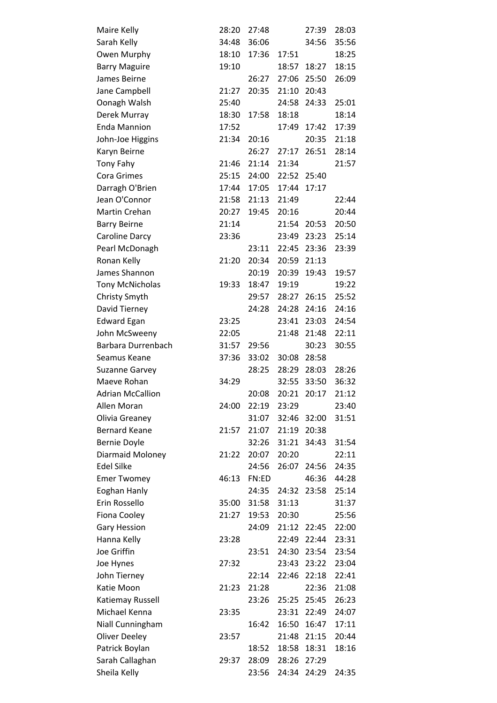| Maire Kelly             | 28:20 | 27:48 |       | 27:39       | 28:03 |
|-------------------------|-------|-------|-------|-------------|-------|
| Sarah Kelly             | 34:48 | 36:06 |       | 34:56       | 35:56 |
| Owen Murphy             | 18:10 | 17:36 | 17:51 |             | 18:25 |
| <b>Barry Maguire</b>    | 19:10 |       | 18:57 | 18:27       | 18:15 |
| James Beirne            |       | 26:27 | 27:06 | 25:50       | 26:09 |
| Jane Campbell           | 21:27 | 20:35 | 21:10 | 20:43       |       |
| Oonagh Walsh            | 25:40 |       | 24:58 | 24:33       | 25:01 |
| Derek Murray            | 18:30 | 17:58 | 18:18 |             | 18:14 |
| <b>Enda Mannion</b>     | 17:52 |       | 17:49 | 17:42       | 17:39 |
| John-Joe Higgins        | 21:34 | 20:16 |       | 20:35       | 21:18 |
| Karyn Beirne            |       | 26:27 | 27:17 | 26:51       | 28:14 |
| <b>Tony Fahy</b>        | 21:46 | 21:14 | 21:34 |             | 21:57 |
| <b>Cora Grimes</b>      | 25:15 | 24:00 | 22:52 | 25:40       |       |
| Darragh O'Brien         | 17:44 | 17:05 | 17:44 | 17:17       |       |
| Jean O'Connor           | 21:58 | 21:13 | 21:49 |             | 22:44 |
| Martin Crehan           | 20:27 | 19:45 | 20:16 |             | 20:44 |
| <b>Barry Beirne</b>     | 21:14 |       | 21:54 | 20:53       | 20:50 |
| Caroline Darcy          | 23:36 |       | 23:49 | 23:23       | 25:14 |
| Pearl McDonagh          |       | 23:11 | 22:45 | 23:36       | 23:39 |
| Ronan Kelly             | 21:20 | 20:34 | 20:59 | 21:13       |       |
| James Shannon           |       | 20:19 | 20:39 | 19:43       | 19:57 |
| <b>Tony McNicholas</b>  | 19:33 | 18:47 | 19:19 |             | 19:22 |
| Christy Smyth           |       | 29:57 | 28:27 | 26:15       | 25:52 |
| David Tierney           |       | 24:28 | 24:28 | 24:16       | 24:16 |
| <b>Edward Egan</b>      | 23:25 |       | 23:41 | 23:03       | 24:54 |
| John McSweeny           | 22:05 |       | 21:48 | 21:48       | 22:11 |
| Barbara Durrenbach      | 31:57 | 29:56 |       | 30:23       | 30:55 |
| Seamus Keane            | 37:36 | 33:02 | 30:08 | 28:58       |       |
| <b>Suzanne Garvey</b>   |       | 28:25 | 28:29 | 28:03       | 28:26 |
| Maeve Rohan             | 34:29 |       | 32:55 | 33:50       | 36:32 |
| <b>Adrian McCallion</b> |       | 20:08 | 20:21 | 20:17       | 21:12 |
| Allen Moran             | 24:00 | 22:19 | 23:29 |             | 23:40 |
| Olivia Greaney          |       | 31:07 |       | 32:46 32:00 | 31:51 |
| <b>Bernard Keane</b>    | 21:57 | 21:07 | 21:19 | 20:38       |       |
| <b>Bernie Doyle</b>     |       | 32:26 | 31:21 | 34:43       | 31:54 |
| Diarmaid Moloney        | 21:22 | 20:07 | 20:20 |             | 22:11 |
| <b>Edel Silke</b>       |       | 24:56 | 26:07 | 24:56       | 24:35 |
| <b>Emer Twomey</b>      | 46:13 | FN:ED |       | 46:36       | 44:28 |
| Eoghan Hanly            |       | 24:35 | 24:32 | 23:58       | 25:14 |
| Erin Rossello           | 35:00 | 31:58 | 31:13 |             | 31:37 |
| Fiona Cooley            | 21:27 | 19:53 | 20:30 |             | 25:56 |
| <b>Gary Hession</b>     |       | 24:09 | 21:12 | 22:45       | 22:00 |
| Hanna Kelly             | 23:28 |       | 22:49 | 22:44       | 23:31 |
| Joe Griffin             |       | 23:51 | 24:30 | 23:54       | 23:54 |
| Joe Hynes               | 27:32 |       | 23:43 | 23:22       | 23:04 |
| John Tierney            |       | 22:14 | 22:46 | 22:18       | 22:41 |
| Katie Moon              | 21:23 | 21:28 |       | 22:36       | 21:08 |
| Katiemay Russell        |       | 23:26 | 25:25 | 25:45       | 26:23 |
| Michael Kenna           | 23:35 |       | 23:31 | 22:49       | 24:07 |
| Niall Cunningham        |       | 16:42 | 16:50 | 16:47       | 17:11 |
| <b>Oliver Deeley</b>    | 23:57 |       | 21:48 | 21:15       | 20:44 |
| Patrick Boylan          |       | 18:52 | 18:58 | 18:31       | 18:16 |
| Sarah Callaghan         | 29:37 | 28:09 | 28:26 | 27:29       |       |
| Sheila Kelly            |       | 23:56 | 24:34 | 24:29       | 24:35 |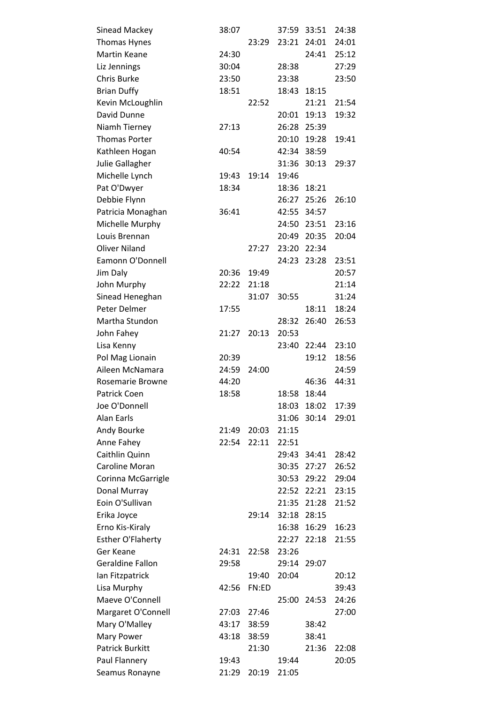| <b>Sinead Mackey</b>     | 38:07 |       | 37:59 | 33:51 | 24:38 |
|--------------------------|-------|-------|-------|-------|-------|
| Thomas Hynes             |       | 23:29 | 23:21 | 24:01 | 24:01 |
| <b>Martin Keane</b>      | 24:30 |       |       | 24:41 | 25:12 |
| Liz Jennings             | 30:04 |       | 28:38 |       | 27:29 |
| Chris Burke              | 23:50 |       | 23:38 |       | 23:50 |
| <b>Brian Duffy</b>       | 18:51 |       | 18:43 | 18:15 |       |
| Kevin McLoughlin         |       | 22:52 |       | 21:21 | 21:54 |
| David Dunne              |       |       | 20:01 | 19:13 | 19:32 |
| Niamh Tierney            | 27:13 |       | 26:28 | 25:39 |       |
| <b>Thomas Porter</b>     |       |       | 20:10 | 19:28 | 19:41 |
| Kathleen Hogan           | 40:54 |       | 42:34 | 38:59 |       |
| Julie Gallagher          |       |       | 31:36 | 30:13 | 29:37 |
| Michelle Lynch           | 19:43 | 19:14 | 19:46 |       |       |
| Pat O'Dwyer              | 18:34 |       | 18:36 | 18:21 |       |
| Debbie Flynn             |       |       | 26:27 | 25:26 | 26:10 |
| Patricia Monaghan        | 36:41 |       | 42:55 | 34:57 |       |
| Michelle Murphy          |       |       | 24:50 | 23:51 | 23:16 |
| Louis Brennan            |       |       | 20:49 | 20:35 | 20:04 |
| <b>Oliver Niland</b>     |       | 27:27 | 23:20 | 22:34 |       |
| Eamonn O'Donnell         |       |       | 24:23 | 23:28 | 23:51 |
| Jim Daly                 | 20:36 | 19:49 |       |       | 20:57 |
| John Murphy              | 22:22 | 21:18 |       |       | 21:14 |
| Sinead Heneghan          |       | 31:07 | 30:55 |       | 31:24 |
| Peter Delmer             | 17:55 |       |       | 18:11 | 18:24 |
| Martha Stundon           |       |       | 28:32 | 26:40 | 26:53 |
| John Fahey               | 21:27 | 20:13 | 20:53 |       |       |
| Lisa Kenny               |       |       | 23:40 | 22:44 | 23:10 |
| Pol Mag Lionain          | 20:39 |       |       | 19:12 | 18:56 |
| Aileen McNamara          | 24:59 | 24:00 |       |       | 24:59 |
| <b>Rosemarie Browne</b>  | 44:20 |       |       | 46:36 | 44:31 |
| Patrick Coen             | 18:58 |       | 18:58 | 18:44 |       |
| Joe O'Donnell            |       |       | 18:03 | 18:02 | 17:39 |
| <b>Alan Earls</b>        |       |       | 31:06 | 30:14 | 29:01 |
| Andy Bourke              | 21:49 | 20:03 | 21:15 |       |       |
| Anne Fahey               | 22:54 | 22:11 | 22:51 |       |       |
| Caithlin Quinn           |       |       | 29:43 | 34:41 | 28:42 |
| <b>Caroline Moran</b>    |       |       | 30:35 | 27:27 | 26:52 |
| Corinna McGarrigle       |       |       | 30:53 | 29:22 | 29:04 |
| Donal Murray             |       |       | 22:52 | 22:21 | 23:15 |
| Eoin O'Sullivan          |       |       | 21:35 | 21:28 | 21:52 |
| Erika Joyce              |       | 29:14 | 32:18 | 28:15 |       |
| Erno Kis-Kiraly          |       |       | 16:38 | 16:29 | 16:23 |
| <b>Esther O'Flaherty</b> |       |       | 22:27 | 22:18 | 21:55 |
| Ger Keane                | 24:31 | 22:58 | 23:26 |       |       |
| <b>Geraldine Fallon</b>  | 29:58 |       | 29:14 | 29:07 |       |
| Ian Fitzpatrick          |       | 19:40 | 20:04 |       | 20:12 |
| Lisa Murphy              | 42:56 | FN:ED |       |       | 39:43 |
| Maeve O'Connell          |       |       | 25:00 | 24:53 | 24:26 |
| Margaret O'Connell       | 27:03 | 27:46 |       |       | 27:00 |
| Mary O'Malley            | 43:17 | 38:59 |       | 38:42 |       |
| Mary Power               | 43:18 | 38:59 |       | 38:41 |       |
| <b>Patrick Burkitt</b>   |       | 21:30 |       | 21:36 | 22:08 |
| Paul Flannery            | 19:43 |       | 19:44 |       | 20:05 |
| Seamus Ronayne           | 21:29 | 20:19 | 21:05 |       |       |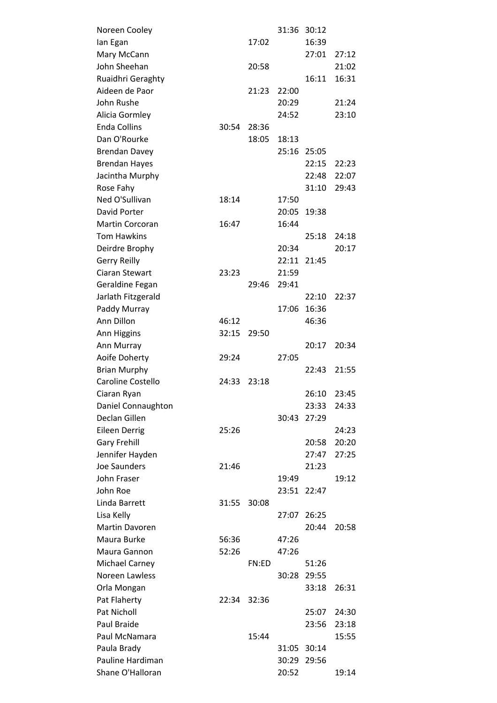| Noreen Cooley         |       |       | 31:36 | 30:12 |       |  |
|-----------------------|-------|-------|-------|-------|-------|--|
| lan Egan              |       | 17:02 |       | 16:39 |       |  |
| Mary McCann           |       |       |       | 27:01 | 27:12 |  |
| John Sheehan          |       | 20:58 |       |       | 21:02 |  |
| Ruaidhri Geraghty     |       |       |       | 16:11 | 16:31 |  |
| Aideen de Paor        |       | 21:23 | 22:00 |       |       |  |
| John Rushe            |       |       | 20:29 |       | 21:24 |  |
| Alicia Gormley        |       |       | 24:52 |       | 23:10 |  |
| <b>Enda Collins</b>   | 30:54 | 28:36 |       |       |       |  |
| Dan O'Rourke          |       | 18:05 | 18:13 |       |       |  |
| <b>Brendan Davey</b>  |       |       | 25:16 | 25:05 |       |  |
| <b>Brendan Hayes</b>  |       |       |       | 22:15 | 22:23 |  |
| Jacintha Murphy       |       |       |       | 22:48 | 22:07 |  |
| Rose Fahy             |       |       |       | 31:10 | 29:43 |  |
| Ned O'Sullivan        | 18:14 |       | 17:50 |       |       |  |
| David Porter          |       |       | 20:05 | 19:38 |       |  |
| Martin Corcoran       | 16:47 |       | 16:44 |       |       |  |
| <b>Tom Hawkins</b>    |       |       |       | 25:18 | 24:18 |  |
| Deirdre Brophy        |       |       | 20:34 |       | 20:17 |  |
| <b>Gerry Reilly</b>   |       |       | 22:11 | 21:45 |       |  |
| Ciaran Stewart        | 23:23 |       | 21:59 |       |       |  |
| Geraldine Fegan       |       | 29:46 | 29:41 |       |       |  |
| Jarlath Fitzgerald    |       |       |       | 22:10 | 22:37 |  |
| Paddy Murray          |       |       | 17:06 | 16:36 |       |  |
| Ann Dillon            | 46:12 |       |       | 46:36 |       |  |
| Ann Higgins           | 32:15 | 29:50 |       |       |       |  |
| Ann Murray            |       |       |       | 20:17 | 20:34 |  |
| Aoife Doherty         | 29:24 |       | 27:05 |       |       |  |
| <b>Brian Murphy</b>   |       |       |       | 22:43 | 21:55 |  |
| Caroline Costello     | 24:33 | 23:18 |       |       |       |  |
| Ciaran Ryan           |       |       |       | 26:10 | 23:45 |  |
| Daniel Connaughton    |       |       |       | 23:33 | 24:33 |  |
| Declan Gillen         |       |       | 30:43 | 27:29 |       |  |
| <b>Eileen Derrig</b>  | 25:26 |       |       |       | 24:23 |  |
| <b>Gary Frehill</b>   |       |       |       | 20:58 | 20:20 |  |
| Jennifer Hayden       |       |       |       | 27:47 | 27:25 |  |
| <b>Joe Saunders</b>   | 21:46 |       |       | 21:23 |       |  |
| John Fraser           |       |       | 19:49 |       | 19:12 |  |
| John Roe              |       |       | 23:51 | 22:47 |       |  |
| Linda Barrett         | 31:55 | 30:08 |       |       |       |  |
| Lisa Kelly            |       |       | 27:07 | 26:25 |       |  |
| Martin Davoren        |       |       |       | 20:44 | 20:58 |  |
| Maura Burke           | 56:36 |       | 47:26 |       |       |  |
| Maura Gannon          | 52:26 |       | 47:26 |       |       |  |
| <b>Michael Carney</b> |       | FN:ED |       | 51:26 |       |  |
| Noreen Lawless        |       |       | 30:28 | 29:55 |       |  |
| Orla Mongan           |       |       |       | 33:18 | 26:31 |  |
| Pat Flaherty          | 22:34 | 32:36 |       |       |       |  |
| Pat Nicholl           |       |       |       | 25:07 | 24:30 |  |
| Paul Braide           |       |       |       | 23:56 | 23:18 |  |
| Paul McNamara         |       | 15:44 |       |       | 15:55 |  |
| Paula Brady           |       |       | 31:05 | 30:14 |       |  |
| Pauline Hardiman      |       |       | 30:29 | 29:56 |       |  |
| Shane O'Halloran      |       |       | 20:52 |       | 19:14 |  |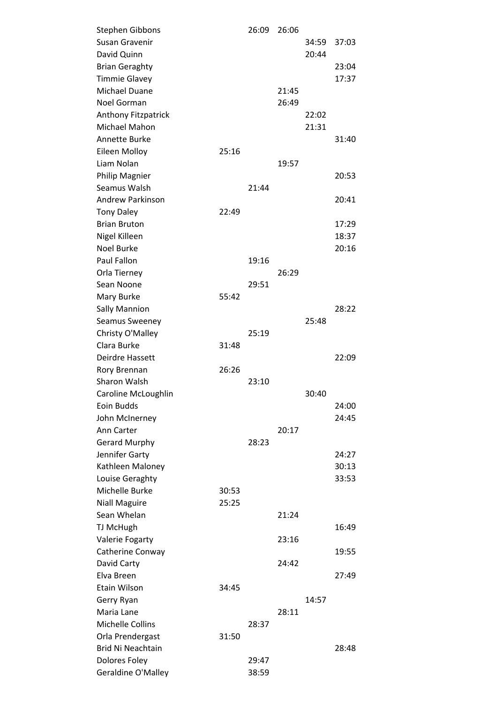| Stephen Gibbons          |       | 26:09 | 26:06 |       |       |  |
|--------------------------|-------|-------|-------|-------|-------|--|
| Susan Gravenir           |       |       |       | 34:59 | 37:03 |  |
| David Quinn              |       |       |       | 20:44 |       |  |
| <b>Brian Geraghty</b>    |       |       |       |       | 23:04 |  |
| <b>Timmie Glavey</b>     |       |       |       |       | 17:37 |  |
| <b>Michael Duane</b>     |       |       | 21:45 |       |       |  |
| Noel Gorman              |       |       | 26:49 |       |       |  |
| Anthony Fitzpatrick      |       |       |       | 22:02 |       |  |
| Michael Mahon            |       |       |       | 21:31 |       |  |
| Annette Burke            |       |       |       |       | 31:40 |  |
| Eileen Molloy            | 25:16 |       |       |       |       |  |
| Liam Nolan               |       |       | 19:57 |       |       |  |
| Philip Magnier           |       |       |       |       | 20:53 |  |
| Seamus Walsh             |       | 21:44 |       |       |       |  |
| <b>Andrew Parkinson</b>  |       |       |       |       | 20:41 |  |
| <b>Tony Daley</b>        | 22:49 |       |       |       |       |  |
| <b>Brian Bruton</b>      |       |       |       |       | 17:29 |  |
| Nigel Killeen            |       |       |       |       | 18:37 |  |
| <b>Noel Burke</b>        |       |       |       |       | 20:16 |  |
| Paul Fallon              |       | 19:16 |       |       |       |  |
| Orla Tierney             |       |       | 26:29 |       |       |  |
| Sean Noone               |       | 29:51 |       |       |       |  |
| Mary Burke               | 55:42 |       |       |       |       |  |
| <b>Sally Mannion</b>     |       |       |       |       | 28:22 |  |
| Seamus Sweeney           |       |       |       | 25:48 |       |  |
| Christy O'Malley         |       | 25:19 |       |       |       |  |
| Clara Burke              | 31:48 |       |       |       |       |  |
| Deirdre Hassett          |       |       |       |       | 22:09 |  |
| Rory Brennan             | 26:26 |       |       |       |       |  |
| Sharon Walsh             |       | 23:10 |       |       |       |  |
| Caroline McLoughlin      |       |       |       | 30:40 |       |  |
| Eoin Budds               |       |       |       |       | 24:00 |  |
| John McInerney           |       |       |       |       | 24:45 |  |
| Ann Carter               |       |       | 20:17 |       |       |  |
| <b>Gerard Murphy</b>     |       | 28:23 |       |       |       |  |
| Jennifer Garty           |       |       |       |       | 24:27 |  |
| Kathleen Maloney         |       |       |       |       | 30:13 |  |
| Louise Geraghty          |       |       |       |       | 33:53 |  |
| Michelle Burke           | 30:53 |       |       |       |       |  |
| <b>Niall Maguire</b>     | 25:25 |       |       |       |       |  |
| Sean Whelan              |       |       | 21:24 |       |       |  |
| TJ McHugh                |       |       |       |       | 16:49 |  |
| Valerie Fogarty          |       |       | 23:16 |       |       |  |
| Catherine Conway         |       |       |       |       | 19:55 |  |
| David Carty              |       |       | 24:42 |       |       |  |
| Elva Breen               |       |       |       |       | 27:49 |  |
| Etain Wilson             | 34:45 |       |       |       |       |  |
| Gerry Ryan               |       |       |       | 14:57 |       |  |
| Maria Lane               |       |       | 28:11 |       |       |  |
| <b>Michelle Collins</b>  |       | 28:37 |       |       |       |  |
| Orla Prendergast         | 31:50 |       |       |       |       |  |
| <b>Brid Ni Neachtain</b> |       |       |       |       | 28:48 |  |
| Dolores Foley            |       | 29:47 |       |       |       |  |
| Geraldine O'Malley       |       | 38:59 |       |       |       |  |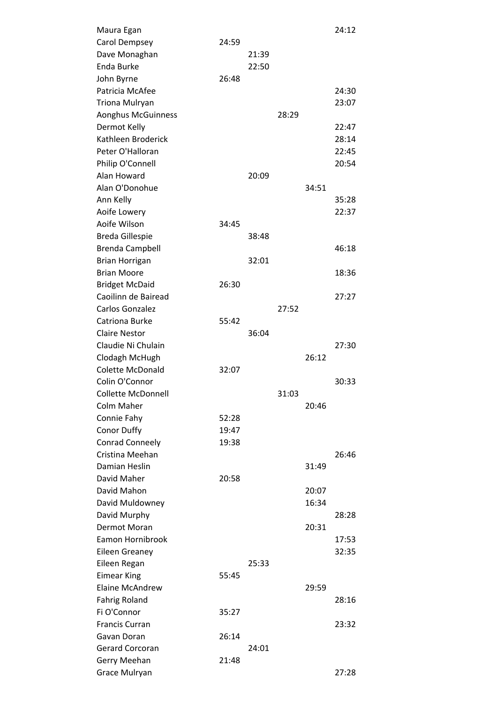| Maura Egan                |       |       |       |       | 24:12 |
|---------------------------|-------|-------|-------|-------|-------|
| Carol Dempsey             | 24:59 |       |       |       |       |
| Dave Monaghan             |       | 21:39 |       |       |       |
| Enda Burke                |       | 22:50 |       |       |       |
| John Byrne                | 26:48 |       |       |       |       |
| Patricia McAfee           |       |       |       |       | 24:30 |
| Triona Mulryan            |       |       |       |       | 23:07 |
| <b>Aonghus McGuinness</b> |       |       | 28:29 |       |       |
| Dermot Kelly              |       |       |       |       | 22:47 |
| Kathleen Broderick        |       |       |       |       | 28:14 |
| Peter O'Halloran          |       |       |       |       | 22:45 |
| Philip O'Connell          |       |       |       |       | 20:54 |
| Alan Howard               |       | 20:09 |       |       |       |
| Alan O'Donohue            |       |       |       | 34:51 |       |
| Ann Kelly                 |       |       |       |       | 35:28 |
| Aoife Lowery              |       |       |       |       | 22:37 |
| Aoife Wilson              | 34:45 |       |       |       |       |
| <b>Breda Gillespie</b>    |       | 38:48 |       |       |       |
| <b>Brenda Campbell</b>    |       |       |       |       | 46:18 |
| <b>Brian Horrigan</b>     |       | 32:01 |       |       |       |
| <b>Brian Moore</b>        |       |       |       |       | 18:36 |
| <b>Bridget McDaid</b>     | 26:30 |       |       |       |       |
| Caoilinn de Bairead       |       |       |       |       | 27:27 |
| Carlos Gonzalez           |       |       | 27:52 |       |       |
| Catriona Burke            | 55:42 |       |       |       |       |
| <b>Claire Nestor</b>      |       | 36:04 |       |       |       |
| Claudie Ni Chulain        |       |       |       |       | 27:30 |
| Clodagh McHugh            |       |       |       | 26:12 |       |
| <b>Colette McDonald</b>   | 32:07 |       |       |       |       |
| Colin O'Connor            |       |       |       |       | 30:33 |
| Collette McDonnell        |       |       | 31:03 |       |       |
| Colm Maher                |       |       |       | 20:46 |       |
| Connie Fahy               | 52:28 |       |       |       |       |
| <b>Conor Duffy</b>        | 19:47 |       |       |       |       |
| Conrad Conneely           | 19:38 |       |       |       |       |
| Cristina Meehan           |       |       |       |       | 26:46 |
| Damian Heslin             |       |       |       | 31:49 |       |
| David Maher               | 20:58 |       |       |       |       |
| David Mahon               |       |       |       | 20:07 |       |
| David Muldowney           |       |       |       | 16:34 |       |
| David Murphy              |       |       |       |       | 28:28 |
| Dermot Moran              |       |       |       | 20:31 |       |
| Eamon Hornibrook          |       |       |       |       | 17:53 |
| Eileen Greaney            |       |       |       |       | 32:35 |
| Eileen Regan              |       | 25:33 |       |       |       |
| <b>Eimear King</b>        | 55:45 |       |       |       |       |
| <b>Elaine McAndrew</b>    |       |       |       | 29:59 |       |
| <b>Fahrig Roland</b>      |       |       |       |       | 28:16 |
| Fi O'Connor               | 35:27 |       |       |       |       |
| <b>Francis Curran</b>     |       |       |       |       | 23:32 |
| Gavan Doran               | 26:14 |       |       |       |       |
| <b>Gerard Corcoran</b>    |       | 24:01 |       |       |       |
| Gerry Meehan              | 21:48 |       |       |       |       |
| Grace Mulryan             |       |       |       |       | 27:28 |
|                           |       |       |       |       |       |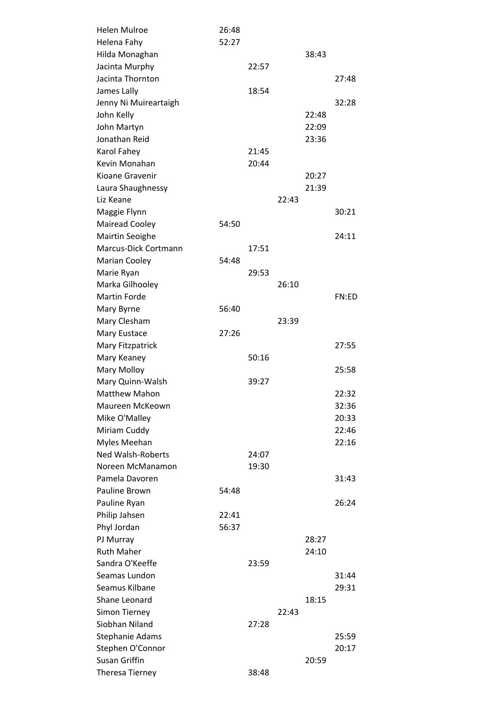| <b>Helen Mulroe</b>      | 26:48 |       |       |       |       |
|--------------------------|-------|-------|-------|-------|-------|
| Helena Fahy              | 52:27 |       |       |       |       |
| Hilda Monaghan           |       |       |       | 38:43 |       |
| Jacinta Murphy           |       | 22:57 |       |       |       |
| Jacinta Thornton         |       |       |       |       | 27:48 |
| James Lally              |       | 18:54 |       |       |       |
| Jenny Ni Muireartaigh    |       |       |       |       | 32:28 |
| John Kelly               |       |       |       | 22:48 |       |
| John Martyn              |       |       |       | 22:09 |       |
| Jonathan Reid            |       |       |       | 23:36 |       |
| Karol Fahey              |       | 21:45 |       |       |       |
| Kevin Monahan            |       | 20:44 |       |       |       |
| Kioane Gravenir          |       |       |       | 20:27 |       |
| Laura Shaughnessy        |       |       |       | 21:39 |       |
| Liz Keane                |       |       | 22:43 |       |       |
| Maggie Flynn             |       |       |       |       | 30:21 |
| <b>Mairead Cooley</b>    | 54:50 |       |       |       |       |
| <b>Mairtin Seoighe</b>   |       |       |       |       | 24:11 |
| Marcus-Dick Cortmann     |       | 17:51 |       |       |       |
| Marian Cooley            | 54:48 |       |       |       |       |
| Marie Ryan               |       | 29:53 |       |       |       |
| Marka Gilhooley          |       |       | 26:10 |       |       |
| <b>Martin Forde</b>      |       |       |       |       | FN:ED |
| Mary Byrne               | 56:40 |       |       |       |       |
| Mary Clesham             |       |       | 23:39 |       |       |
| Mary Eustace             | 27:26 |       |       |       |       |
| Mary Fitzpatrick         |       |       |       |       | 27:55 |
| Mary Keaney              |       | 50:16 |       |       |       |
| Mary Molloy              |       |       |       |       | 25:58 |
| Mary Quinn-Walsh         |       | 39:27 |       |       |       |
| <b>Matthew Mahon</b>     |       |       |       |       | 22:32 |
| Maureen McKeown          |       |       |       |       | 32:36 |
| Mike O'Malley            |       |       |       |       | 20:33 |
| Miriam Cuddy             |       |       |       |       | 22:46 |
| Myles Meehan             |       |       |       |       | 22:16 |
| <b>Ned Walsh-Roberts</b> |       | 24:07 |       |       |       |
| Noreen McManamon         |       | 19:30 |       |       |       |
| Pamela Davoren           |       |       |       |       | 31:43 |
| Pauline Brown            | 54:48 |       |       |       |       |
| Pauline Ryan             |       |       |       |       | 26:24 |
| Philip Jahsen            | 22:41 |       |       |       |       |
| Phyl Jordan              | 56:37 |       |       |       |       |
| PJ Murray                |       |       |       | 28:27 |       |
| <b>Ruth Maher</b>        |       |       |       | 24:10 |       |
| Sandra O'Keeffe          |       | 23:59 |       |       |       |
| Seamas Lundon            |       |       |       |       | 31:44 |
| Seamus Kilbane           |       |       |       |       | 29:31 |
| Shane Leonard            |       |       |       | 18:15 |       |
| Simon Tierney            |       |       | 22:43 |       |       |
| Siobhan Niland           |       | 27:28 |       |       |       |
| <b>Stephanie Adams</b>   |       |       |       |       | 25:59 |
| Stephen O'Connor         |       |       |       |       | 20:17 |
| <b>Susan Griffin</b>     |       |       |       | 20:59 |       |
| Theresa Tierney          |       | 38:48 |       |       |       |